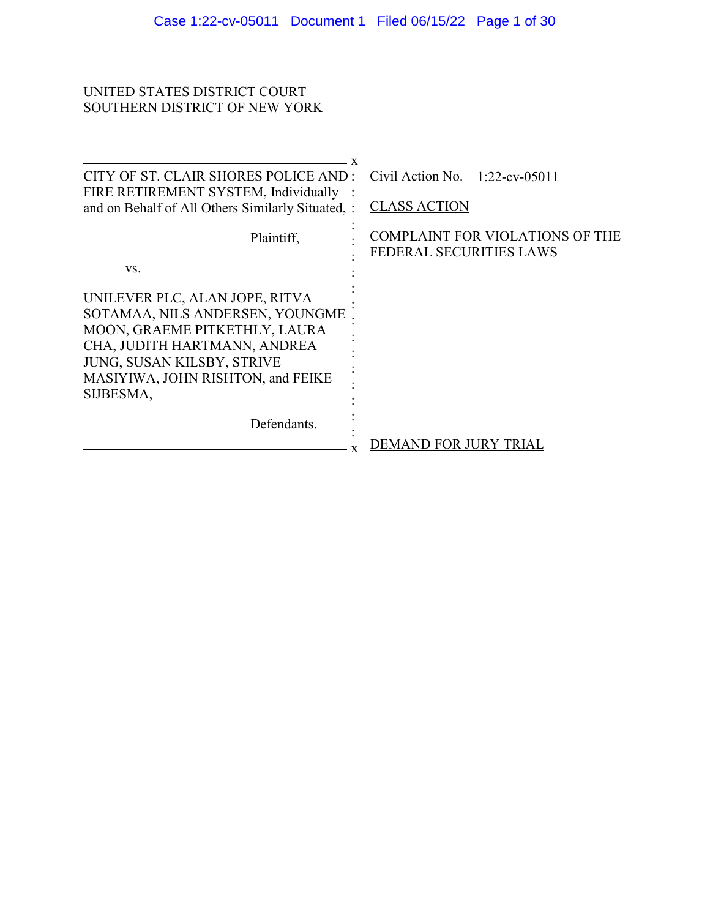# UNITED STATES DISTRICT COURT SOUTHERN DISTRICT OF NEW YORK

| CITY OF ST. CLAIR SHORES POLICE AND :                                                                                                                                                                              | Civil Action No. $1:22$ -cv-05011                                        |
|--------------------------------------------------------------------------------------------------------------------------------------------------------------------------------------------------------------------|--------------------------------------------------------------------------|
| FIRE RETIREMENT SYSTEM, Individually<br>and on Behalf of All Others Similarly Situated, :                                                                                                                          | <b>CLASS ACTION</b>                                                      |
| Plaintiff,                                                                                                                                                                                                         | <b>COMPLAINT FOR VIOLATIONS OF THE</b><br><b>FEDERAL SECURITIES LAWS</b> |
| VS.                                                                                                                                                                                                                |                                                                          |
| UNILEVER PLC, ALAN JOPE, RITVA<br>SOTAMAA, NILS ANDERSEN, YOUNGME<br>MOON, GRAEME PITKETHLY, LAURA<br>CHA, JUDITH HARTMANN, ANDREA<br>JUNG, SUSAN KILSBY, STRIVE<br>MASIYIWA, JOHN RISHTON, and FEIKE<br>SIJBESMA, |                                                                          |
| Defendants.                                                                                                                                                                                                        | DEMAND FOR JURY TRIA                                                     |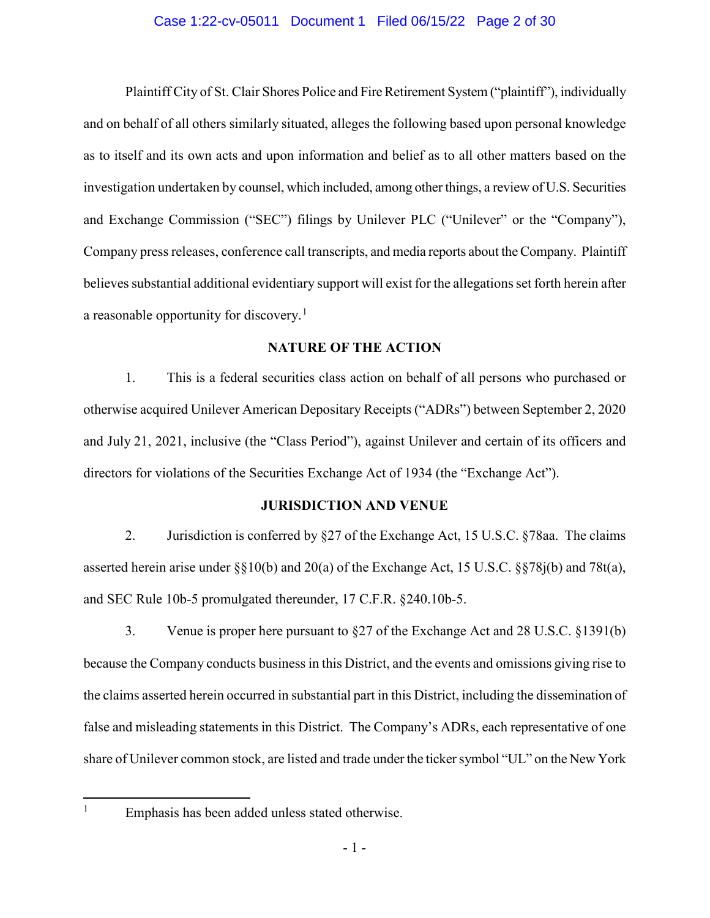### Case 1:22-cv-05011 Document 1 Filed 06/15/22 Page 2 of 30

Plaintiff City of St. Clair Shores Police and Fire Retirement System ("plaintiff"), individually and on behalf of all others similarly situated, alleges the following based upon personal knowledge as to itself and its own acts and upon information and belief as to all other matters based on the investigation undertaken by counsel, which included, among other things, a review of U.S. Securities and Exchange Commission ("SEC") filings by Unilever PLC ("Unilever" or the "Company"), Company press releases, conference call transcripts, and media reports about the Company. Plaintiff believes substantial additional evidentiary support will exist for the allegations set forth herein after a reasonable opportunity for discovery.<sup>1</sup>

## **NATURE OF THE ACTION**

1. This is a federal securities class action on behalf of all persons who purchased or otherwise acquired Unilever American Depositary Receipts ("ADRs") between September 2, 2020 and July 21, 2021, inclusive (the "Class Period"), against Unilever and certain of its officers and directors for violations of the Securities Exchange Act of 1934 (the "Exchange Act").

### **JURISDICTION AND VENUE**

2. Jurisdiction is conferred by §27 of the Exchange Act, 15 U.S.C. §78aa. The claims asserted herein arise under §§10(b) and 20(a) of the Exchange Act, 15 U.S.C. §§78j(b) and 78t(a), and SEC Rule 10b-5 promulgated thereunder, 17 C.F.R. §240.10b-5.

3. Venue is proper here pursuant to §27 of the Exchange Act and 28 U.S.C. §1391(b) because the Company conducts business in this District, and the events and omissions giving rise to the claims asserted herein occurred in substantial part in this District, including the dissemination of false and misleading statements in this District. The Company's ADRs, each representative of one share of Unilever common stock, are listed and trade under the ticker symbol "UL" on the New York

<sup>&</sup>lt;sup>1</sup> Emphasis has been added unless stated otherwise.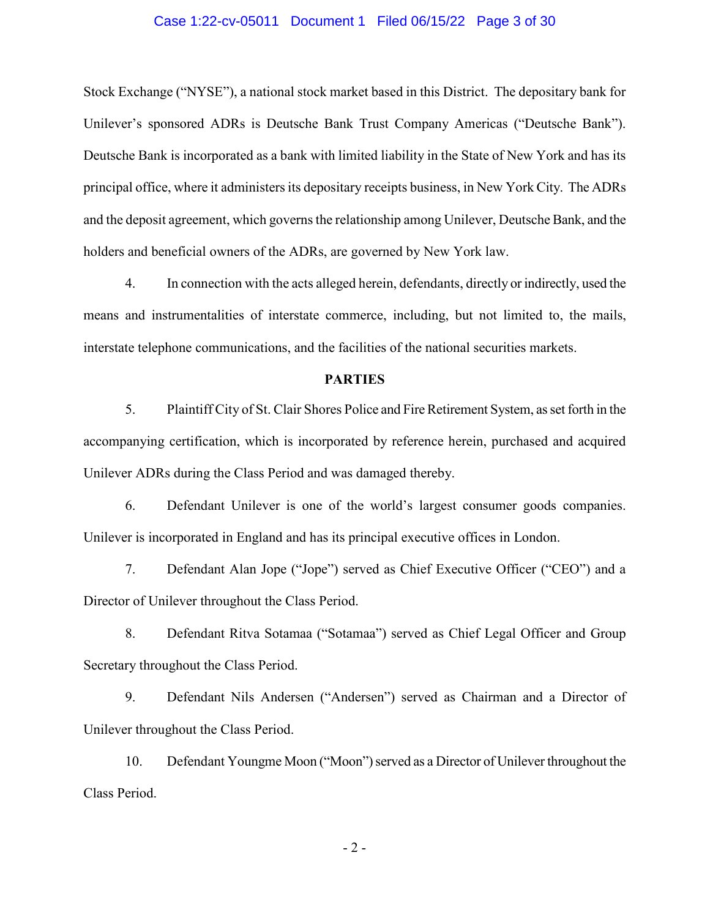### Case 1:22-cv-05011 Document 1 Filed 06/15/22 Page 3 of 30

Stock Exchange ("NYSE"), a national stock market based in this District. The depositary bank for Unilever's sponsored ADRs is Deutsche Bank Trust Company Americas ("Deutsche Bank"). Deutsche Bank is incorporated as a bank with limited liability in the State of New York and has its principal office, where it administers its depositary receipts business, in New York City. The ADRs and the deposit agreement, which governs the relationship among Unilever, Deutsche Bank, and the holders and beneficial owners of the ADRs, are governed by New York law.

4. In connection with the acts alleged herein, defendants, directly or indirectly, used the means and instrumentalities of interstate commerce, including, but not limited to, the mails, interstate telephone communications, and the facilities of the national securities markets.

### **PARTIES**

5. Plaintiff City of St. Clair Shores Police and Fire Retirement System, as set forth in the accompanying certification, which is incorporated by reference herein, purchased and acquired Unilever ADRs during the Class Period and was damaged thereby.

6. Defendant Unilever is one of the world's largest consumer goods companies. Unilever is incorporated in England and has its principal executive offices in London.

7. Defendant Alan Jope ("Jope") served as Chief Executive Officer ("CEO") and a Director of Unilever throughout the Class Period.

8. Defendant Ritva Sotamaa ("Sotamaa") served as Chief Legal Officer and Group Secretary throughout the Class Period.

9. Defendant Nils Andersen ("Andersen") served as Chairman and a Director of Unilever throughout the Class Period.

10. Defendant Youngme Moon ("Moon") served as a Director of Unilever throughout the Class Period.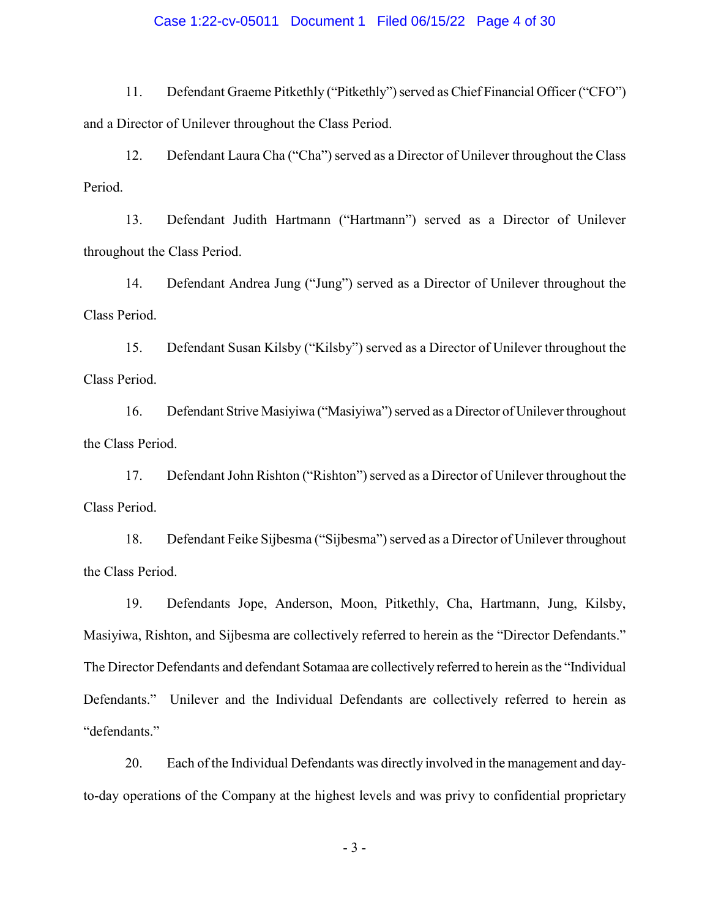### Case 1:22-cv-05011 Document 1 Filed 06/15/22 Page 4 of 30

11. Defendant Graeme Pitkethly ("Pitkethly") served as Chief Financial Officer ("CFO") and a Director of Unilever throughout the Class Period.

12. Defendant Laura Cha ("Cha") served as a Director of Unilever throughout the Class Period.

13. Defendant Judith Hartmann ("Hartmann") served as a Director of Unilever throughout the Class Period.

14. Defendant Andrea Jung ("Jung") served as a Director of Unilever throughout the Class Period.

15. Defendant Susan Kilsby ("Kilsby") served as a Director of Unilever throughout the Class Period.

16. Defendant Strive Masiyiwa ("Masiyiwa") served as a Director of Unilever throughout the Class Period.

17. Defendant John Rishton ("Rishton") served as a Director of Unilever throughout the Class Period.

18. Defendant Feike Sijbesma ("Sijbesma") served as a Director of Unilever throughout the Class Period.

19. Defendants Jope, Anderson, Moon, Pitkethly, Cha, Hartmann, Jung, Kilsby, Masiyiwa, Rishton, and Sijbesma are collectively referred to herein as the "Director Defendants." The Director Defendants and defendant Sotamaa are collectively referred to herein as the "Individual Defendants." Unilever and the Individual Defendants are collectively referred to herein as "defendants."

20. Each of the Individual Defendants was directly involved in the management and dayto-day operations of the Company at the highest levels and was privy to confidential proprietary

- 3 -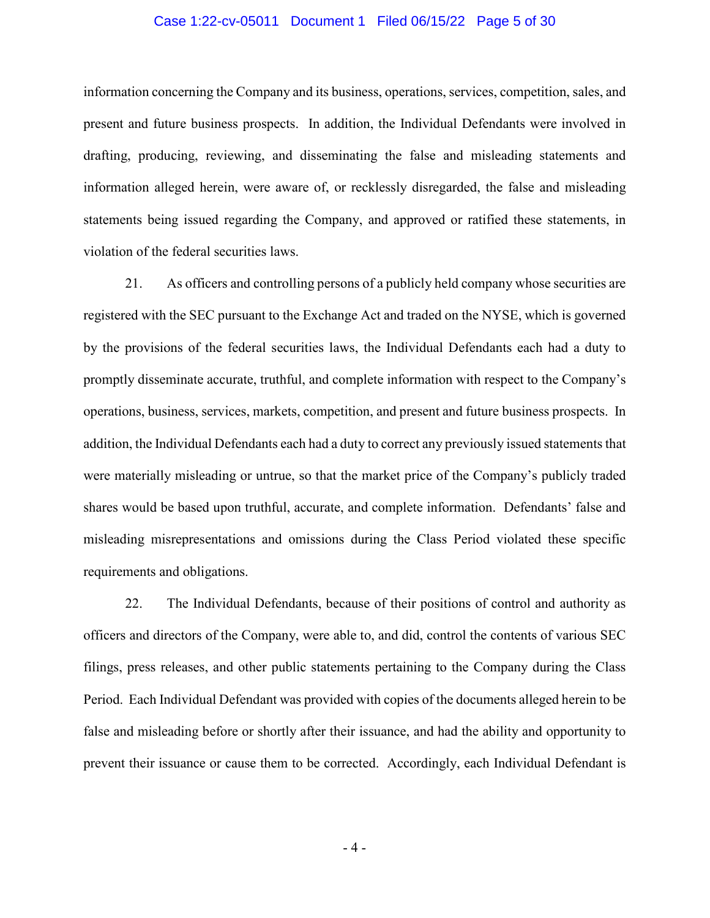### Case 1:22-cv-05011 Document 1 Filed 06/15/22 Page 5 of 30

information concerning the Company and its business, operations, services, competition, sales, and present and future business prospects. In addition, the Individual Defendants were involved in drafting, producing, reviewing, and disseminating the false and misleading statements and information alleged herein, were aware of, or recklessly disregarded, the false and misleading statements being issued regarding the Company, and approved or ratified these statements, in violation of the federal securities laws.

21. As officers and controlling persons of a publicly held company whose securities are registered with the SEC pursuant to the Exchange Act and traded on the NYSE, which is governed by the provisions of the federal securities laws, the Individual Defendants each had a duty to promptly disseminate accurate, truthful, and complete information with respect to the Company's operations, business, services, markets, competition, and present and future business prospects. In addition, the Individual Defendants each had a duty to correct any previously issued statements that were materially misleading or untrue, so that the market price of the Company's publicly traded shares would be based upon truthful, accurate, and complete information. Defendants' false and misleading misrepresentations and omissions during the Class Period violated these specific requirements and obligations.

22. The Individual Defendants, because of their positions of control and authority as officers and directors of the Company, were able to, and did, control the contents of various SEC filings, press releases, and other public statements pertaining to the Company during the Class Period. Each Individual Defendant was provided with copies of the documents alleged herein to be false and misleading before or shortly after their issuance, and had the ability and opportunity to prevent their issuance or cause them to be corrected. Accordingly, each Individual Defendant is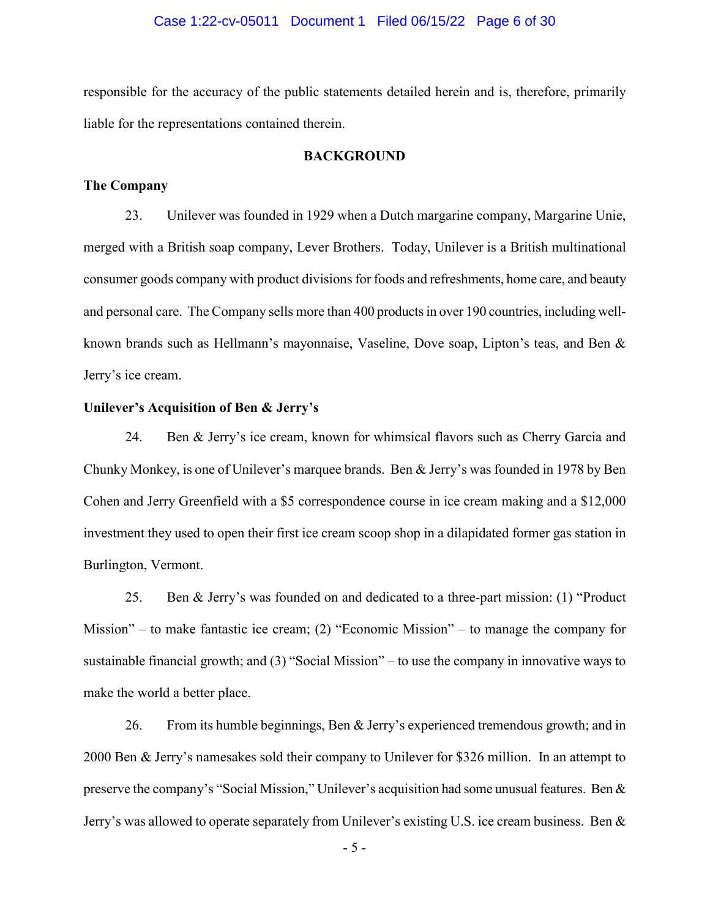### Case 1:22-cv-05011 Document 1 Filed 06/15/22 Page 6 of 30

responsible for the accuracy of the public statements detailed herein and is, therefore, primarily liable for the representations contained therein.

### **BACKGROUND**

#### **The Company**

23. Unilever was founded in 1929 when a Dutch margarine company, Margarine Unie, merged with a British soap company, Lever Brothers. Today, Unilever is a British multinational consumer goods company with product divisions for foods and refreshments, home care, and beauty and personal care. The Company sells more than 400 products in over 190 countries, including wellknown brands such as Hellmann's mayonnaise, Vaseline, Dove soap, Lipton's teas, and Ben & Jerry's ice cream.

### **Unilever's Acquisition of Ben & Jerry's**

24. Ben & Jerry's ice cream, known for whimsical flavors such as Cherry Garcia and Chunky Monkey, is one of Unilever's marquee brands. Ben & Jerry's was founded in 1978 by Ben Cohen and Jerry Greenfield with a \$5 correspondence course in ice cream making and a \$12,000 investment they used to open their first ice cream scoop shop in a dilapidated former gas station in Burlington, Vermont.

25. Ben & Jerry's was founded on and dedicated to a three-part mission: (1) "Product Mission" – to make fantastic ice cream; (2) "Economic Mission" – to manage the company for sustainable financial growth; and (3) "Social Mission" – to use the company in innovative ways to make the world a better place.

26. From its humble beginnings, Ben & Jerry's experienced tremendous growth; and in 2000 Ben & Jerry's namesakes sold their company to Unilever for \$326 million. In an attempt to preserve the company's "Social Mission," Unilever's acquisition had some unusual features. Ben & Jerry's was allowed to operate separately from Unilever's existing U.S. ice cream business. Ben &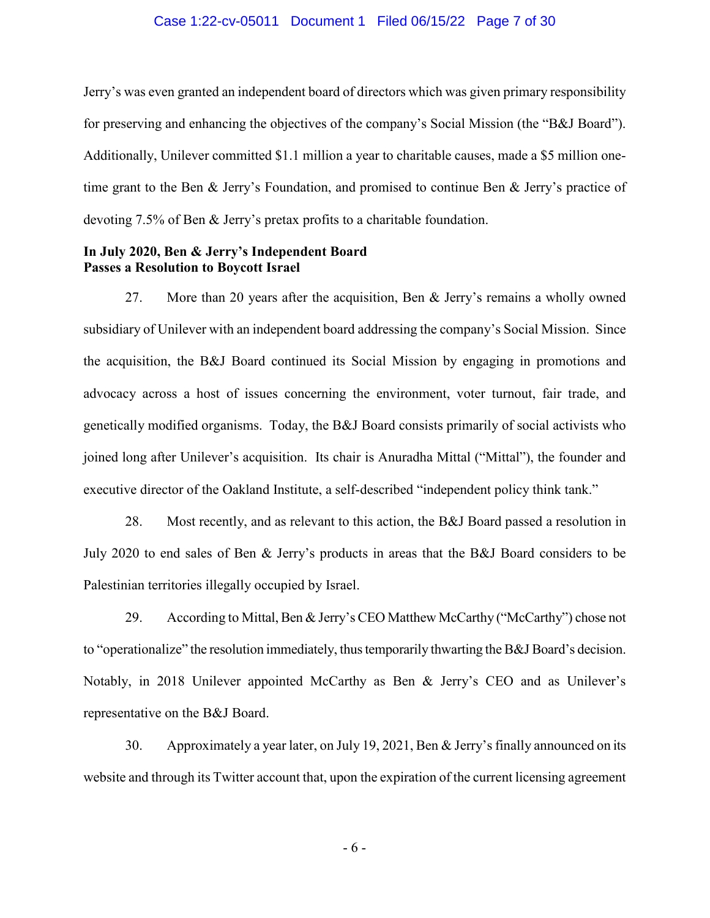#### Case 1:22-cv-05011 Document 1 Filed 06/15/22 Page 7 of 30

Jerry's was even granted an independent board of directors which was given primary responsibility for preserving and enhancing the objectives of the company's Social Mission (the "B&J Board"). Additionally, Unilever committed \$1.1 million a year to charitable causes, made a \$5 million onetime grant to the Ben & Jerry's Foundation, and promised to continue Ben & Jerry's practice of devoting 7.5% of Ben & Jerry's pretax profits to a charitable foundation.

## **In July 2020, Ben & Jerry's Independent Board Passes a Resolution to Boycott Israel**

27. More than 20 years after the acquisition, Ben & Jerry's remains a wholly owned subsidiary of Unilever with an independent board addressing the company's Social Mission. Since the acquisition, the B&J Board continued its Social Mission by engaging in promotions and advocacy across a host of issues concerning the environment, voter turnout, fair trade, and genetically modified organisms. Today, the B&J Board consists primarily of social activists who joined long after Unilever's acquisition. Its chair is Anuradha Mittal ("Mittal"), the founder and executive director of the Oakland Institute, a self-described "independent policy think tank."

28. Most recently, and as relevant to this action, the B&J Board passed a resolution in July 2020 to end sales of Ben & Jerry's products in areas that the B&J Board considers to be Palestinian territories illegally occupied by Israel.

29. According to Mittal, Ben & Jerry's CEO Matthew McCarthy ("McCarthy") chose not to "operationalize" the resolution immediately, thus temporarily thwarting the B&J Board's decision. Notably, in 2018 Unilever appointed McCarthy as Ben & Jerry's CEO and as Unilever's representative on the B&J Board.

30. Approximately a year later, on July 19, 2021, Ben & Jerry's finally announced on its website and through its Twitter account that, upon the expiration of the current licensing agreement

- 6 -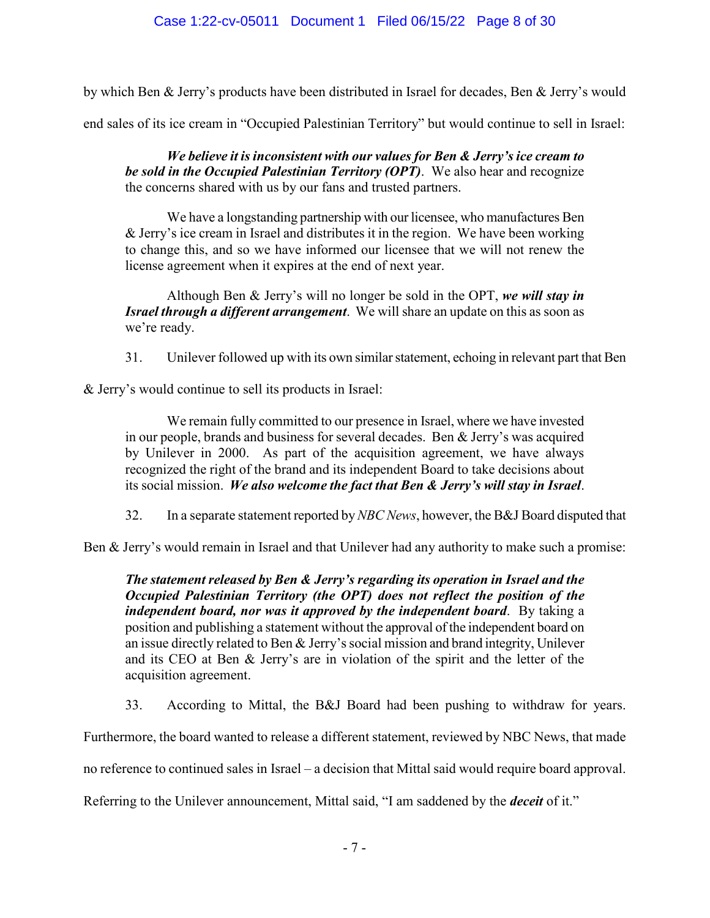by which Ben & Jerry's products have been distributed in Israel for decades, Ben & Jerry's would

end sales of its ice cream in "Occupied Palestinian Territory" but would continue to sell in Israel:

*We believe it is inconsistent with our values for Ben & Jerry's ice cream to be sold in the Occupied Palestinian Territory (OPT)*. We also hear and recognize the concerns shared with us by our fans and trusted partners.

We have a longstanding partnership with our licensee, who manufactures Ben & Jerry's ice cream in Israel and distributes it in the region. We have been working to change this, and so we have informed our licensee that we will not renew the license agreement when it expires at the end of next year.

Although Ben & Jerry's will no longer be sold in the OPT, *we will stay in Israel through a different arrangement*. We will share an update on this as soon as we're ready.

31. Unilever followed up with its own similar statement, echoing in relevant part that Ben

& Jerry's would continue to sell its products in Israel:

We remain fully committed to our presence in Israel, where we have invested in our people, brands and business for several decades. Ben & Jerry's was acquired by Unilever in 2000. As part of the acquisition agreement, we have always recognized the right of the brand and its independent Board to take decisions about its social mission. *We also welcome the fact that Ben & Jerry's will stay in Israel*.

32. In a separate statement reported by *NBC News*, however, the B&J Board disputed that

Ben & Jerry's would remain in Israel and that Unilever had any authority to make such a promise:

*The statement released by Ben & Jerry's regarding its operation in Israel and the Occupied Palestinian Territory (the OPT) does not reflect the position of the independent board, nor was it approved by the independent board*. By taking a position and publishing a statement without the approval of the independent board on an issue directly related to Ben & Jerry's social mission and brand integrity, Unilever and its CEO at Ben & Jerry's are in violation of the spirit and the letter of the acquisition agreement.

33. According to Mittal, the B&J Board had been pushing to withdraw for years.

Furthermore, the board wanted to release a different statement, reviewed by NBC News, that made

no reference to continued sales in Israel – a decision that Mittal said would require board approval.

Referring to the Unilever announcement, Mittal said, "I am saddened by the *deceit* of it."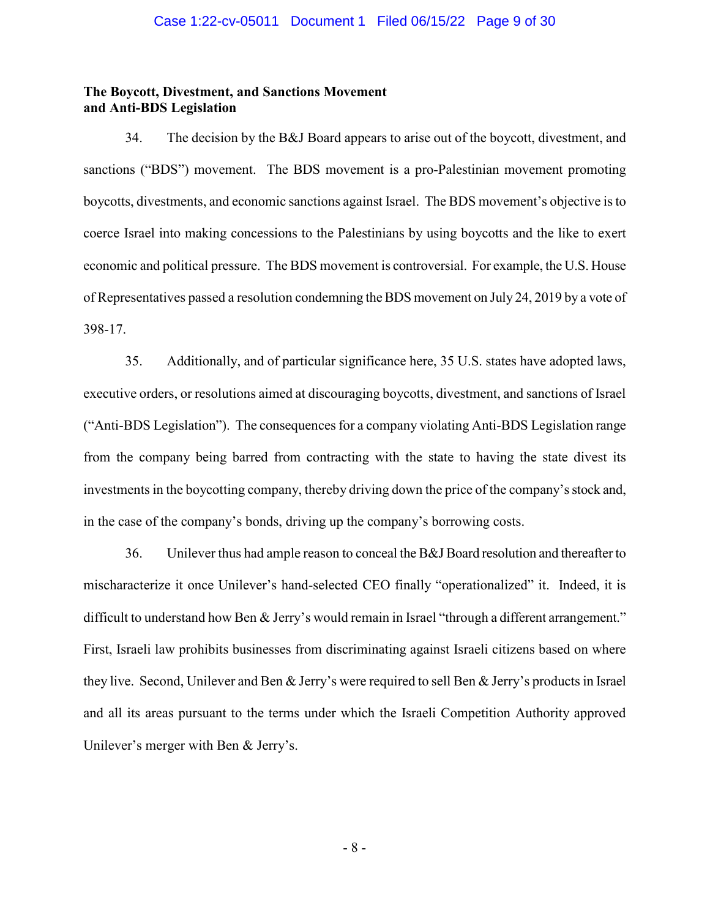### **The Boycott, Divestment, and Sanctions Movement and Anti-BDS Legislation**

34. The decision by the B&J Board appears to arise out of the boycott, divestment, and sanctions ("BDS") movement. The BDS movement is a pro-Palestinian movement promoting boycotts, divestments, and economic sanctions against Israel. The BDS movement's objective is to coerce Israel into making concessions to the Palestinians by using boycotts and the like to exert economic and political pressure. The BDS movement is controversial. For example, the U.S. House of Representatives passed a resolution condemning the BDS movement on July 24, 2019 by a vote of 398-17.

35. Additionally, and of particular significance here, 35 U.S. states have adopted laws, executive orders, or resolutions aimed at discouraging boycotts, divestment, and sanctions of Israel ("Anti-BDS Legislation"). The consequences for a company violating Anti-BDS Legislation range from the company being barred from contracting with the state to having the state divest its investments in the boycotting company, thereby driving down the price of the company's stock and, in the case of the company's bonds, driving up the company's borrowing costs.

36. Unilever thus had ample reason to conceal the B&J Board resolution and thereafter to mischaracterize it once Unilever's hand-selected CEO finally "operationalized" it. Indeed, it is difficult to understand how Ben & Jerry's would remain in Israel "through a different arrangement." First, Israeli law prohibits businesses from discriminating against Israeli citizens based on where they live. Second, Unilever and Ben & Jerry's were required to sell Ben & Jerry's products in Israel and all its areas pursuant to the terms under which the Israeli Competition Authority approved Unilever's merger with Ben & Jerry's.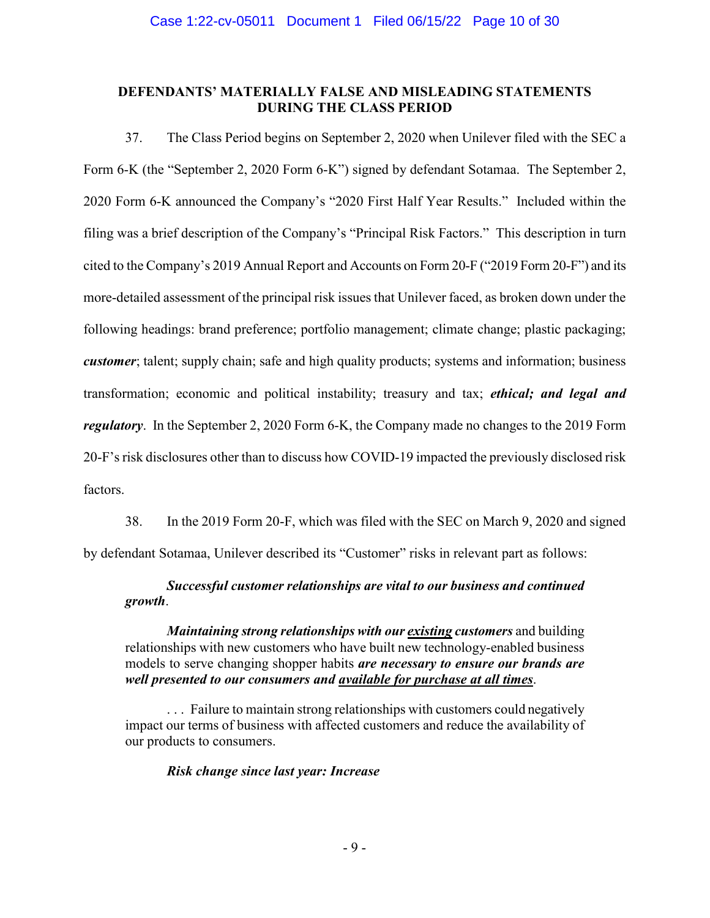## **DEFENDANTS' MATERIALLY FALSE AND MISLEADING STATEMENTS DURING THE CLASS PERIOD**

37. The Class Period begins on September 2, 2020 when Unilever filed with the SEC a Form 6-K (the "September 2, 2020 Form 6-K") signed by defendant Sotamaa. The September 2, 2020 Form 6-K announced the Company's "2020 First Half Year Results." Included within the filing was a brief description of the Company's "Principal Risk Factors." This description in turn cited to the Company's 2019 Annual Report and Accounts on Form 20-F ("2019 Form 20-F") and its more-detailed assessment of the principal risk issues that Unilever faced, as broken down under the following headings: brand preference; portfolio management; climate change; plastic packaging; *customer*; talent; supply chain; safe and high quality products; systems and information; business transformation; economic and political instability; treasury and tax; *ethical; and legal and regulatory*. In the September 2, 2020 Form 6-K, the Company made no changes to the 2019 Form 20-F's risk disclosures other than to discuss how COVID-19 impacted the previously disclosed risk factors.

38. In the 2019 Form 20-F, which was filed with the SEC on March 9, 2020 and signed by defendant Sotamaa, Unilever described its "Customer" risks in relevant part as follows:

## *Successful customer relationships are vital to our business and continued growth*.

*Maintaining strong relationships with our existing customers* and building relationships with new customers who have built new technology-enabled business models to serve changing shopper habits *are necessary to ensure our brands are well presented to our consumers and available for purchase at all times*.

... Failure to maintain strong relationships with customers could negatively impact our terms of business with affected customers and reduce the availability of our products to consumers.

## *Risk change since last year: Increase*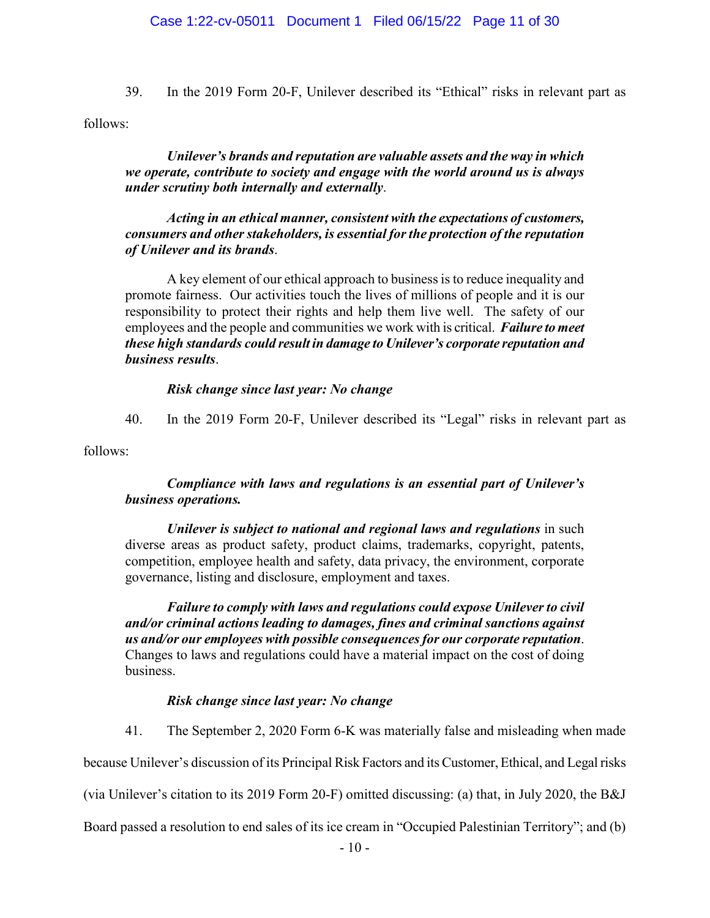39. In the 2019 Form 20-F, Unilever described its "Ethical" risks in relevant part as follows:

*Unilever's brands and reputation are valuable assets and the way in which we operate, contribute to society and engage with the world around us is always under scrutiny both internally and externally*.

*Acting in an ethical manner, consistent with the expectations of customers, consumers and other stakeholders, is essential for the protection of the reputation of Unilever and its brands*.

A key element of our ethical approach to business is to reduce inequality and promote fairness. Our activities touch the lives of millions of people and it is our responsibility to protect their rights and help them live well. The safety of our employees and the people and communities we work with is critical. *Failure to meet these high standards could result in damage to Unilever's corporate reputation and business results*.

## *Risk change since last year: No change*

40. In the 2019 Form 20-F, Unilever described its "Legal" risks in relevant part as

follows:

## *Compliance with laws and regulations is an essential part of Unilever's business operations.*

*Unilever is subject to national and regional laws and regulations* in such diverse areas as product safety, product claims, trademarks, copyright, patents, competition, employee health and safety, data privacy, the environment, corporate governance, listing and disclosure, employment and taxes.

*Failure to comply with laws and regulations could expose Unilever to civil and/or criminal actions leading to damages, fines and criminal sanctions against us and/or our employees with possible consequences for our corporate reputation*. Changes to laws and regulations could have a material impact on the cost of doing business.

## *Risk change since last year: No change*

41. The September 2, 2020 Form 6-K was materially false and misleading when made

because Unilever's discussion of its Principal Risk Factors and its Customer, Ethical, and Legal risks

(via Unilever's citation to its 2019 Form 20-F) omitted discussing: (a) that, in July 2020, the B&J

Board passed a resolution to end sales of its ice cream in "Occupied Palestinian Territory"; and (b)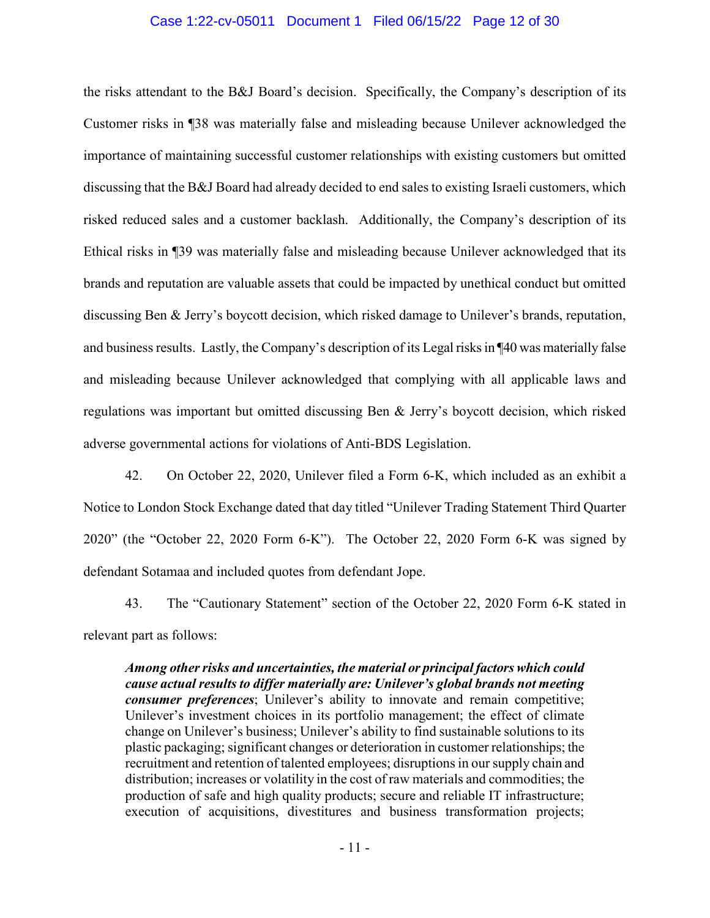### Case 1:22-cv-05011 Document 1 Filed 06/15/22 Page 12 of 30

the risks attendant to the B&J Board's decision. Specifically, the Company's description of its Customer risks in ¶38 was materially false and misleading because Unilever acknowledged the importance of maintaining successful customer relationships with existing customers but omitted discussing that the B&J Board had already decided to end sales to existing Israeli customers, which risked reduced sales and a customer backlash. Additionally, the Company's description of its Ethical risks in ¶39 was materially false and misleading because Unilever acknowledged that its brands and reputation are valuable assets that could be impacted by unethical conduct but omitted discussing Ben & Jerry's boycott decision, which risked damage to Unilever's brands, reputation, and business results. Lastly, the Company's description of its Legal risks in ¶40 was materially false and misleading because Unilever acknowledged that complying with all applicable laws and regulations was important but omitted discussing Ben & Jerry's boycott decision, which risked adverse governmental actions for violations of Anti-BDS Legislation.

42. On October 22, 2020, Unilever filed a Form 6-K, which included as an exhibit a Notice to London Stock Exchange dated that day titled "Unilever Trading Statement Third Quarter 2020" (the "October 22, 2020 Form 6-K"). The October 22, 2020 Form 6-K was signed by defendant Sotamaa and included quotes from defendant Jope.

43. The "Cautionary Statement" section of the October 22, 2020 Form 6-K stated in relevant part as follows:

*Among other risks and uncertainties, the material or principal factors which could cause actual results to differ materially are: Unilever's global brands not meeting consumer preferences*; Unilever's ability to innovate and remain competitive; Unilever's investment choices in its portfolio management; the effect of climate change on Unilever's business; Unilever's ability to find sustainable solutions to its plastic packaging; significant changes or deterioration in customer relationships; the recruitment and retention of talented employees; disruptions in our supply chain and distribution; increases or volatility in the cost of raw materials and commodities; the production of safe and high quality products; secure and reliable IT infrastructure; execution of acquisitions, divestitures and business transformation projects;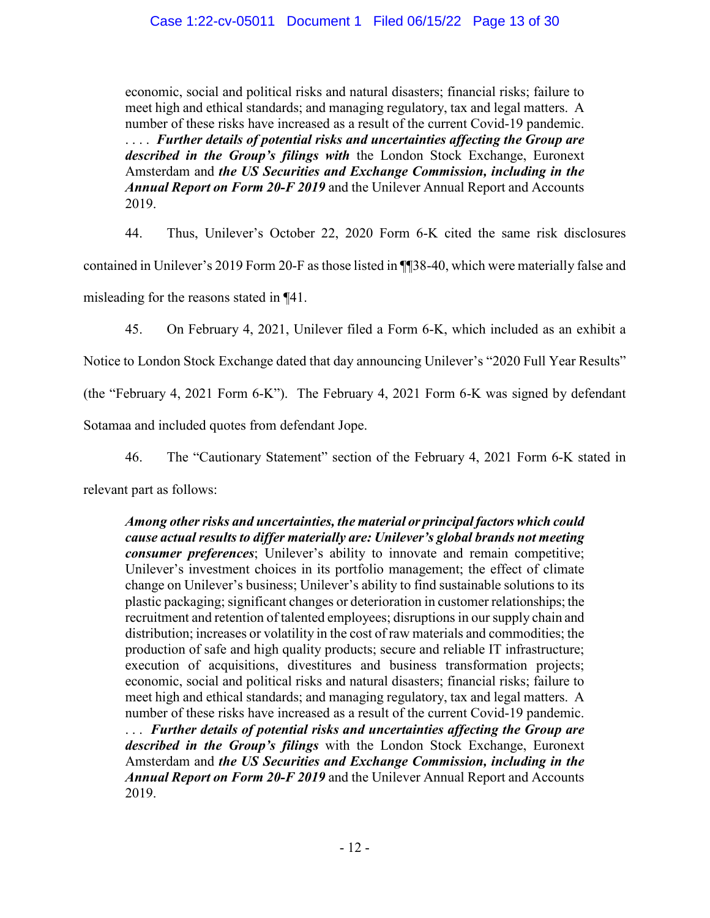economic, social and political risks and natural disasters; financial risks; failure to meet high and ethical standards; and managing regulatory, tax and legal matters. A number of these risks have increased as a result of the current Covid-19 pandemic. . . . . *Further details of potential risks and uncertainties affecting the Group are described in the Group's filings with* the London Stock Exchange, Euronext Amsterdam and *the US Securities and Exchange Commission, including in the Annual Report on Form 20-F 2019* and the Unilever Annual Report and Accounts 2019.

44. Thus, Unilever's October 22, 2020 Form 6-K cited the same risk disclosures contained in Unilever's 2019 Form 20-F as those listed in ¶¶38-40, which were materially false and misleading for the reasons stated in ¶41.

45. On February 4, 2021, Unilever filed a Form 6-K, which included as an exhibit a

Notice to London Stock Exchange dated that day announcing Unilever's "2020 Full Year Results"

(the "February 4, 2021 Form 6-K"). The February 4, 2021 Form 6-K was signed by defendant

Sotamaa and included quotes from defendant Jope.

46. The "Cautionary Statement" section of the February 4, 2021 Form 6-K stated in

relevant part as follows:

*Among other risks and uncertainties, the material or principal factors which could cause actual results to differ materially are: Unilever's global brands not meeting consumer preferences*; Unilever's ability to innovate and remain competitive; Unilever's investment choices in its portfolio management; the effect of climate change on Unilever's business; Unilever's ability to find sustainable solutions to its plastic packaging; significant changes or deterioration in customer relationships; the recruitment and retention of talented employees; disruptions in our supply chain and distribution; increases or volatility in the cost of raw materials and commodities; the production of safe and high quality products; secure and reliable IT infrastructure; execution of acquisitions, divestitures and business transformation projects; economic, social and political risks and natural disasters; financial risks; failure to meet high and ethical standards; and managing regulatory, tax and legal matters. A number of these risks have increased as a result of the current Covid-19 pandemic. . . . *Further details of potential risks and uncertainties affecting the Group are described in the Group's filings* with the London Stock Exchange, Euronext Amsterdam and *the US Securities and Exchange Commission, including in the Annual Report on Form 20-F 2019* and the Unilever Annual Report and Accounts 2019.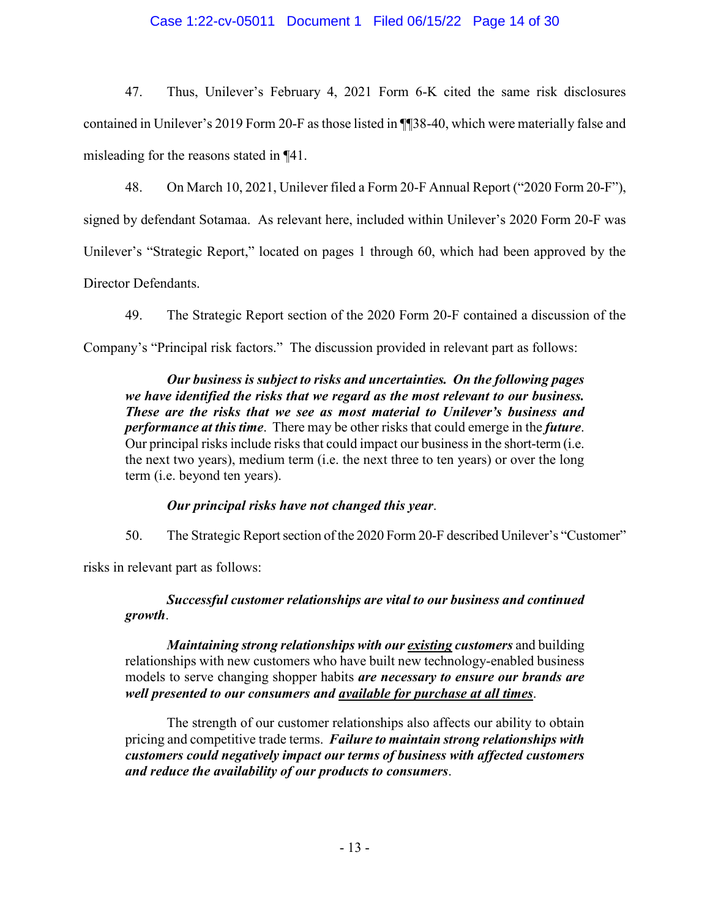## Case 1:22-cv-05011 Document 1 Filed 06/15/22 Page 14 of 30

47. Thus, Unilever's February 4, 2021 Form 6-K cited the same risk disclosures contained in Unilever's 2019 Form 20-F as those listed in ¶¶38-40, which were materially false and misleading for the reasons stated in ¶41.

48. On March 10, 2021, Unilever filed a Form 20-F Annual Report ("2020 Form 20-F"), signed by defendant Sotamaa. As relevant here, included within Unilever's 2020 Form 20-F was Unilever's "Strategic Report," located on pages 1 through 60, which had been approved by the Director Defendants.

49. The Strategic Report section of the 2020 Form 20-F contained a discussion of the Company's "Principal risk factors." The discussion provided in relevant part as follows:

*Our business is subject to risks and uncertainties. On the following pages we have identified the risks that we regard as the most relevant to our business. These are the risks that we see as most material to Unilever's business and performance at this time*. There may be other risks that could emerge in the *future*. Our principal risks include risks that could impact our business in the short-term (i.e. the next two years), medium term (i.e. the next three to ten years) or over the long term (i.e. beyond ten years).

## *Our principal risks have not changed this year*.

50. The Strategic Report section of the 2020 Form 20-F described Unilever's "Customer"

risks in relevant part as follows:

## *Successful customer relationships are vital to our business and continued growth*.

*Maintaining strong relationships with our existing customers* and building relationships with new customers who have built new technology-enabled business models to serve changing shopper habits *are necessary to ensure our brands are well presented to our consumers and available for purchase at all times*.

The strength of our customer relationships also affects our ability to obtain pricing and competitive trade terms. *Failure to maintain strong relationships with customers could negatively impact our terms of business with affected customers and reduce the availability of our products to consumers*.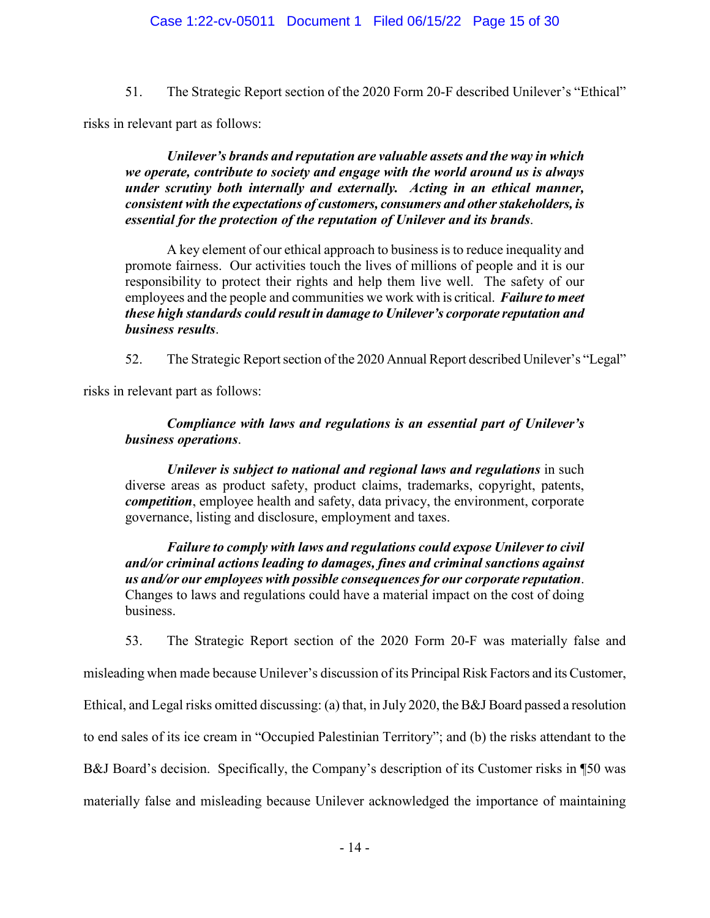51. The Strategic Report section of the 2020 Form 20-F described Unilever's "Ethical"

risks in relevant part as follows:

*Unilever's brands and reputation are valuable assets and the way in which we operate, contribute to society and engage with the world around us is always under scrutiny both internally and externally. Acting in an ethical manner, consistent with the expectations of customers, consumers and other stakeholders, is essential for the protection of the reputation of Unilever and its brands*.

A key element of our ethical approach to business is to reduce inequality and promote fairness. Our activities touch the lives of millions of people and it is our responsibility to protect their rights and help them live well. The safety of our employees and the people and communities we work with is critical. *Failure to meet these high standards could result in damage to Unilever's corporate reputation and business results*.

52. The Strategic Report section of the 2020 Annual Report described Unilever's "Legal"

risks in relevant part as follows:

## *Compliance with laws and regulations is an essential part of Unilever's business operations*.

*Unilever is subject to national and regional laws and regulations* in such diverse areas as product safety, product claims, trademarks, copyright, patents, *competition*, employee health and safety, data privacy, the environment, corporate governance, listing and disclosure, employment and taxes.

*Failure to comply with laws and regulations could expose Unilever to civil and/or criminal actions leading to damages, fines and criminal sanctions against us and/or our employees with possible consequences for our corporate reputation*. Changes to laws and regulations could have a material impact on the cost of doing business.

53. The Strategic Report section of the 2020 Form 20-F was materially false and

misleading when made because Unilever's discussion of its Principal Risk Factors and its Customer,

Ethical, and Legal risks omitted discussing: (a) that, in July 2020, the B&J Board passed a resolution

to end sales of its ice cream in "Occupied Palestinian Territory"; and (b) the risks attendant to the

B&J Board's decision. Specifically, the Company's description of its Customer risks in ¶50 was

materially false and misleading because Unilever acknowledged the importance of maintaining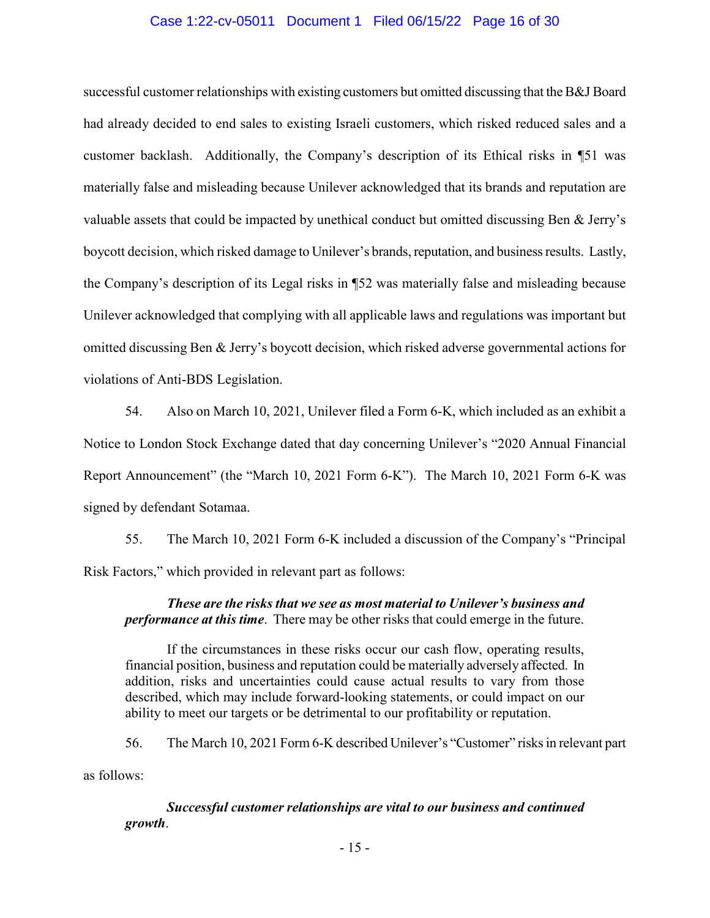### Case 1:22-cv-05011 Document 1 Filed 06/15/22 Page 16 of 30

successful customer relationships with existing customers but omitted discussing that the B&J Board had already decided to end sales to existing Israeli customers, which risked reduced sales and a customer backlash. Additionally, the Company's description of its Ethical risks in ¶51 was materially false and misleading because Unilever acknowledged that its brands and reputation are valuable assets that could be impacted by unethical conduct but omitted discussing Ben & Jerry's boycott decision, which risked damage to Unilever's brands, reputation, and business results. Lastly, the Company's description of its Legal risks in ¶52 was materially false and misleading because Unilever acknowledged that complying with all applicable laws and regulations was important but omitted discussing Ben & Jerry's boycott decision, which risked adverse governmental actions for violations of Anti-BDS Legislation.

54. Also on March 10, 2021, Unilever filed a Form 6-K, which included as an exhibit a Notice to London Stock Exchange dated that day concerning Unilever's "2020 Annual Financial Report Announcement" (the "March 10, 2021 Form 6-K"). The March 10, 2021 Form 6-K was signed by defendant Sotamaa.

55. The March 10, 2021 Form 6-K included a discussion of the Company's "Principal Risk Factors," which provided in relevant part as follows:

## *These are the risks that we see as most material to Unilever's business and performance at this time*. There may be other risks that could emerge in the future.

If the circumstances in these risks occur our cash flow, operating results, financial position, business and reputation could be materially adversely affected. In addition, risks and uncertainties could cause actual results to vary from those described, which may include forward-looking statements, or could impact on our ability to meet our targets or be detrimental to our profitability or reputation.

56. The March 10, 2021 Form 6-K described Unilever's "Customer" risks in relevant part as follows:

*Successful customer relationships are vital to our business and continued growth*.

- 15 -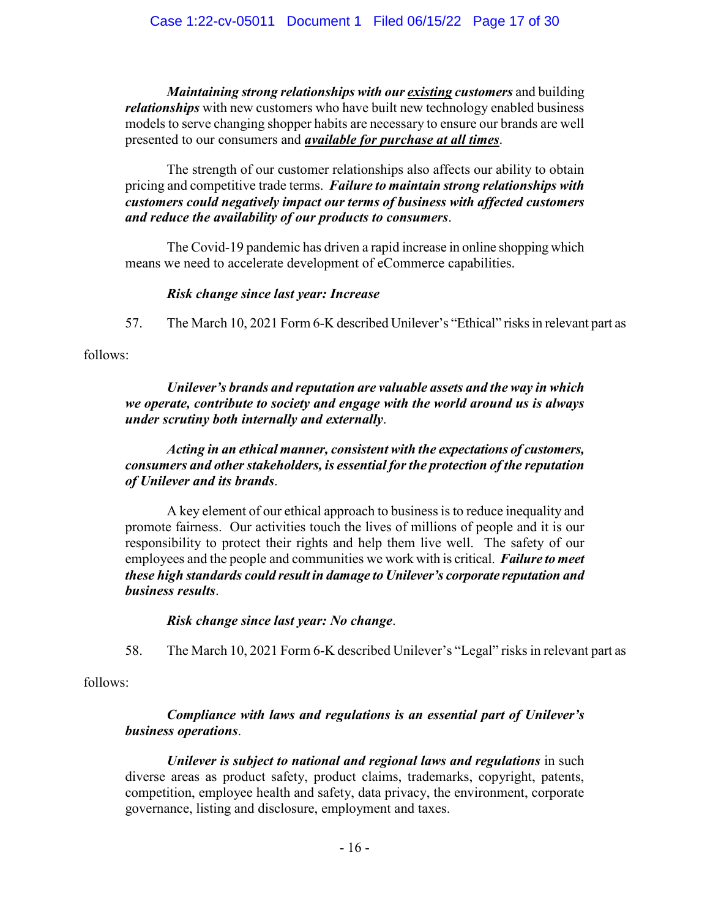*Maintaining strong relationships with our existing customers* and building *relationships* with new customers who have built new technology enabled business models to serve changing shopper habits are necessary to ensure our brands are well presented to our consumers and *available for purchase at all times*.

The strength of our customer relationships also affects our ability to obtain pricing and competitive trade terms. *Failure to maintain strong relationships with customers could negatively impact our terms of business with affected customers and reduce the availability of our products to consumers*.

The Covid-19 pandemic has driven a rapid increase in online shopping which means we need to accelerate development of eCommerce capabilities.

## *Risk change since last year: Increase*

57. The March 10, 2021 Form 6-K described Unilever's "Ethical" risks in relevant part as

follows:

## *Unilever's brands and reputation are valuable assets and the way in which we operate, contribute to society and engage with the world around us is always under scrutiny both internally and externally*.

## *Acting in an ethical manner, consistent with the expectations of customers, consumers and other stakeholders, is essential for the protection of the reputation of Unilever and its brands*.

A key element of our ethical approach to business is to reduce inequality and promote fairness. Our activities touch the lives of millions of people and it is our responsibility to protect their rights and help them live well. The safety of our employees and the people and communities we work with is critical. *Failure to meet these high standards could result in damage to Unilever's corporate reputation and business results*.

## *Risk change since last year: No change*.

58. The March 10, 2021 Form 6-K described Unilever's "Legal" risks in relevant part as

follows:

## *Compliance with laws and regulations is an essential part of Unilever's business operations*.

*Unilever is subject to national and regional laws and regulations* in such diverse areas as product safety, product claims, trademarks, copyright, patents, competition, employee health and safety, data privacy, the environment, corporate governance, listing and disclosure, employment and taxes.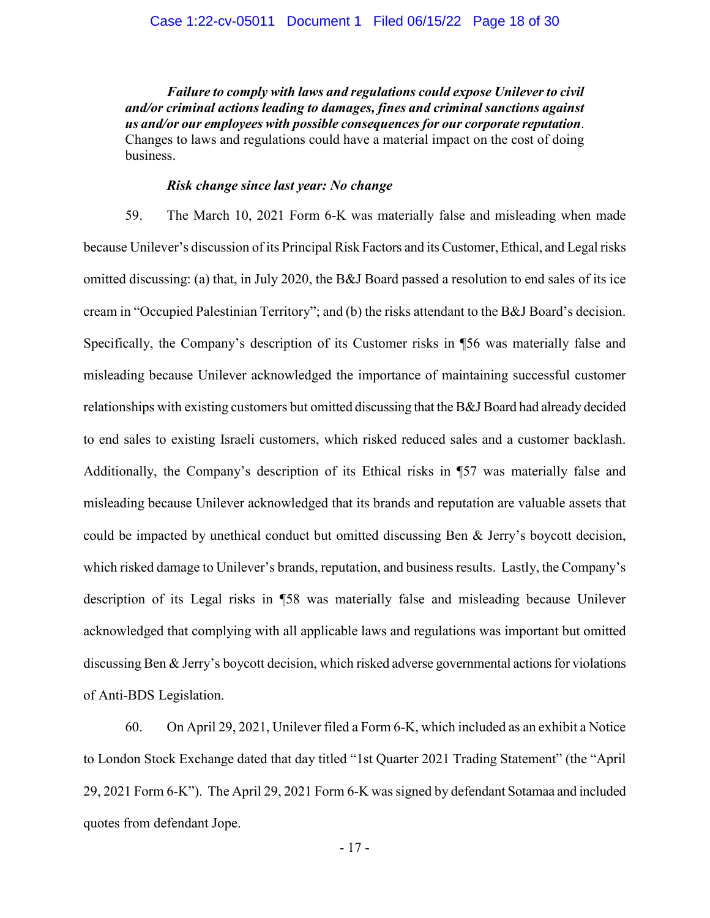*Failure to comply with laws and regulations could expose Unilever to civil and/or criminal actions leading to damages, fines and criminal sanctions against us and/or our employees with possible consequences for our corporate reputation*. Changes to laws and regulations could have a material impact on the cost of doing business.

### *Risk change since last year: No change*

59. The March 10, 2021 Form 6-K was materially false and misleading when made because Unilever's discussion of its Principal Risk Factors and its Customer, Ethical, and Legal risks omitted discussing: (a) that, in July 2020, the B&J Board passed a resolution to end sales of its ice cream in "Occupied Palestinian Territory"; and (b) the risks attendant to the B&J Board's decision. Specifically, the Company's description of its Customer risks in ¶56 was materially false and misleading because Unilever acknowledged the importance of maintaining successful customer relationships with existing customers but omitted discussing that the B&J Board had already decided to end sales to existing Israeli customers, which risked reduced sales and a customer backlash. Additionally, the Company's description of its Ethical risks in ¶57 was materially false and misleading because Unilever acknowledged that its brands and reputation are valuable assets that could be impacted by unethical conduct but omitted discussing Ben & Jerry's boycott decision, which risked damage to Unilever's brands, reputation, and business results. Lastly, the Company's description of its Legal risks in ¶58 was materially false and misleading because Unilever acknowledged that complying with all applicable laws and regulations was important but omitted discussing Ben & Jerry's boycott decision, which risked adverse governmental actions for violations of Anti-BDS Legislation.

60. On April 29, 2021, Unilever filed a Form 6-K, which included as an exhibit a Notice to London Stock Exchange dated that day titled "1st Quarter 2021 Trading Statement" (the "April 29, 2021 Form 6-K"). The April 29, 2021 Form 6-K was signed by defendant Sotamaa and included quotes from defendant Jope.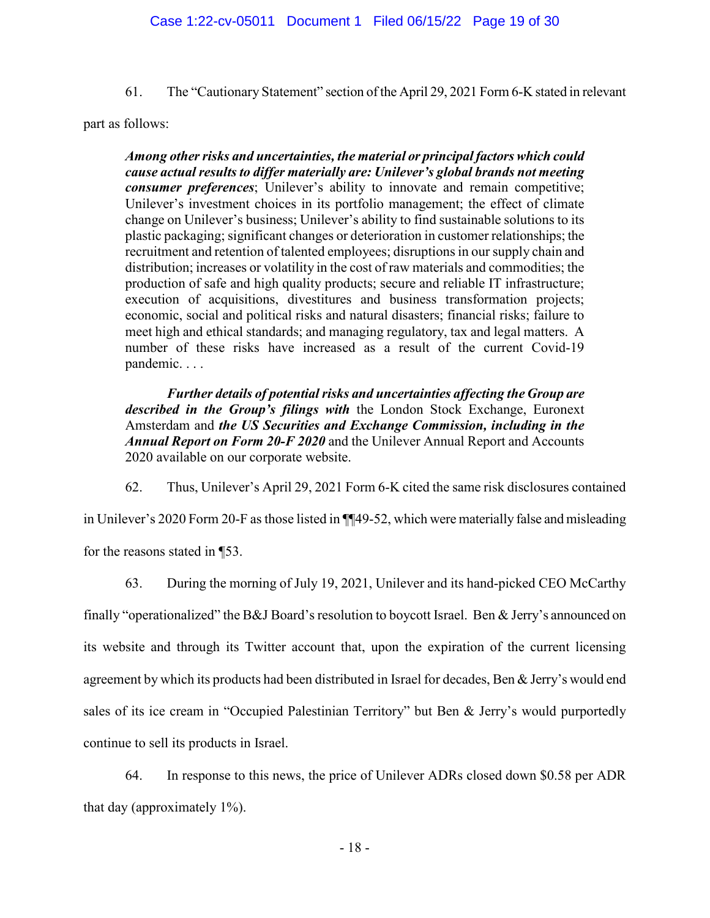61. The "Cautionary Statement" section of the April 29, 2021 Form 6-K stated in relevant

part as follows:

*Among other risks and uncertainties, the material or principal factors which could cause actual results to differ materially are: Unilever's global brands not meeting consumer preferences*; Unilever's ability to innovate and remain competitive; Unilever's investment choices in its portfolio management; the effect of climate change on Unilever's business; Unilever's ability to find sustainable solutions to its plastic packaging; significant changes or deterioration in customer relationships; the recruitment and retention of talented employees; disruptions in our supply chain and distribution; increases or volatility in the cost of raw materials and commodities; the production of safe and high quality products; secure and reliable IT infrastructure; execution of acquisitions, divestitures and business transformation projects; economic, social and political risks and natural disasters; financial risks; failure to meet high and ethical standards; and managing regulatory, tax and legal matters. A number of these risks have increased as a result of the current Covid-19 pandemic. . . .

*Further details of potential risks and uncertainties affecting the Group are described in the Group's filings with* the London Stock Exchange, Euronext Amsterdam and *the US Securities and Exchange Commission, including in the Annual Report on Form 20-F 2020* and the Unilever Annual Report and Accounts 2020 available on our corporate website.

62. Thus, Unilever's April 29, 2021 Form 6-K cited the same risk disclosures contained

in Unilever's 2020 Form 20-F as those listed in ¶¶49-52, which were materially false and misleading for the reasons stated in ¶53.

63. During the morning of July 19, 2021, Unilever and its hand-picked CEO McCarthy finally "operationalized" the B&J Board's resolution to boycott Israel. Ben & Jerry's announced on its website and through its Twitter account that, upon the expiration of the current licensing agreement by which its products had been distributed in Israel for decades, Ben & Jerry's would end sales of its ice cream in "Occupied Palestinian Territory" but Ben & Jerry's would purportedly continue to sell its products in Israel.

64. In response to this news, the price of Unilever ADRs closed down \$0.58 per ADR that day (approximately 1%).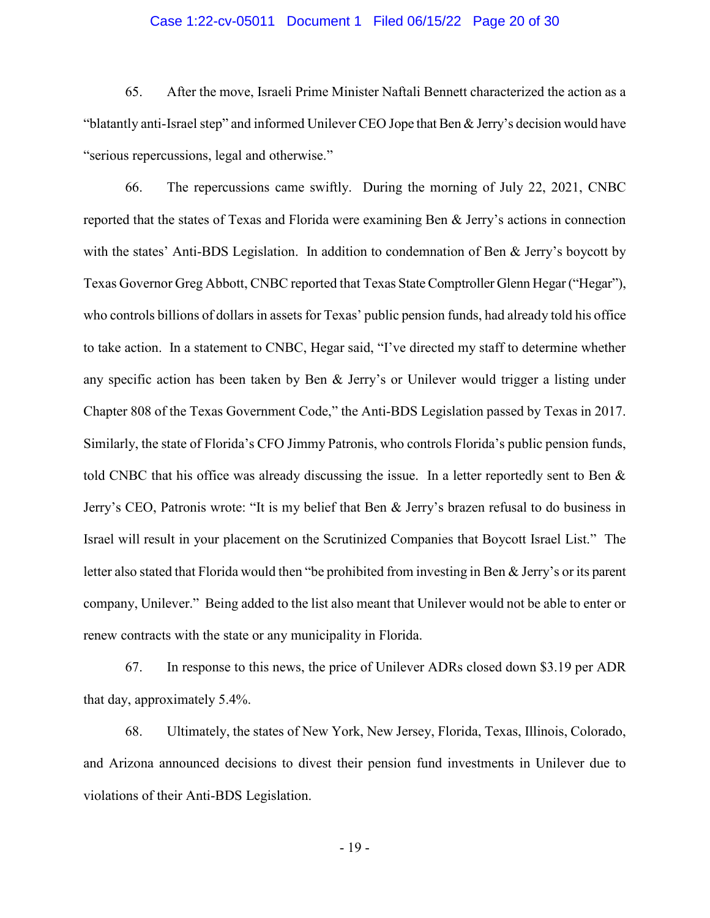### Case 1:22-cv-05011 Document 1 Filed 06/15/22 Page 20 of 30

65. After the move, Israeli Prime Minister Naftali Bennett characterized the action as a "blatantly anti-Israel step" and informed Unilever CEO Jope that Ben & Jerry's decision would have "serious repercussions, legal and otherwise."

66. The repercussions came swiftly. During the morning of July 22, 2021, CNBC reported that the states of Texas and Florida were examining Ben & Jerry's actions in connection with the states' Anti-BDS Legislation. In addition to condemnation of Ben & Jerry's boycott by Texas Governor Greg Abbott, CNBC reported that Texas State Comptroller Glenn Hegar ("Hegar"), who controls billions of dollars in assets for Texas' public pension funds, had already told his office to take action. In a statement to CNBC, Hegar said, "I've directed my staff to determine whether any specific action has been taken by Ben & Jerry's or Unilever would trigger a listing under Chapter 808 of the Texas Government Code," the Anti-BDS Legislation passed by Texas in 2017. Similarly, the state of Florida's CFO Jimmy Patronis, who controls Florida's public pension funds, told CNBC that his office was already discussing the issue. In a letter reportedly sent to Ben & Jerry's CEO, Patronis wrote: "It is my belief that Ben & Jerry's brazen refusal to do business in Israel will result in your placement on the Scrutinized Companies that Boycott Israel List." The letter also stated that Florida would then "be prohibited from investing in Ben & Jerry's or its parent company, Unilever." Being added to the list also meant that Unilever would not be able to enter or renew contracts with the state or any municipality in Florida.

67. In response to this news, the price of Unilever ADRs closed down \$3.19 per ADR that day, approximately 5.4%.

68. Ultimately, the states of New York, New Jersey, Florida, Texas, Illinois, Colorado, and Arizona announced decisions to divest their pension fund investments in Unilever due to violations of their Anti-BDS Legislation.

- 19 -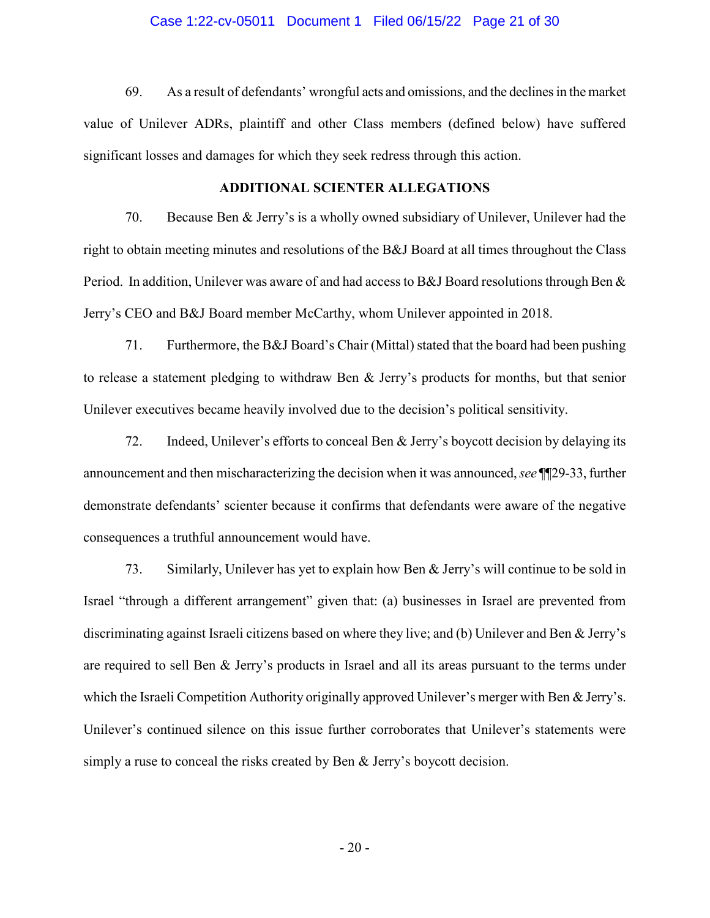### Case 1:22-cv-05011 Document 1 Filed 06/15/22 Page 21 of 30

69. As a result of defendants' wrongful acts and omissions, and the declines in the market value of Unilever ADRs, plaintiff and other Class members (defined below) have suffered significant losses and damages for which they seek redress through this action.

## **ADDITIONAL SCIENTER ALLEGATIONS**

70. Because Ben & Jerry's is a wholly owned subsidiary of Unilever, Unilever had the right to obtain meeting minutes and resolutions of the B&J Board at all times throughout the Class Period. In addition, Unilever was aware of and had access to B&J Board resolutions through Ben & Jerry's CEO and B&J Board member McCarthy, whom Unilever appointed in 2018.

71. Furthermore, the B&J Board's Chair (Mittal) stated that the board had been pushing to release a statement pledging to withdraw Ben & Jerry's products for months, but that senior Unilever executives became heavily involved due to the decision's political sensitivity.

72. Indeed, Unilever's efforts to conceal Ben & Jerry's boycott decision by delaying its announcement and then mischaracterizing the decision when it was announced, *see* ¶¶29-33, further demonstrate defendants' scienter because it confirms that defendants were aware of the negative consequences a truthful announcement would have.

73. Similarly, Unilever has yet to explain how Ben & Jerry's will continue to be sold in Israel "through a different arrangement" given that: (a) businesses in Israel are prevented from discriminating against Israeli citizens based on where they live; and (b) Unilever and Ben & Jerry's are required to sell Ben & Jerry's products in Israel and all its areas pursuant to the terms under which the Israeli Competition Authority originally approved Unilever's merger with Ben & Jerry's. Unilever's continued silence on this issue further corroborates that Unilever's statements were simply a ruse to conceal the risks created by Ben & Jerry's boycott decision.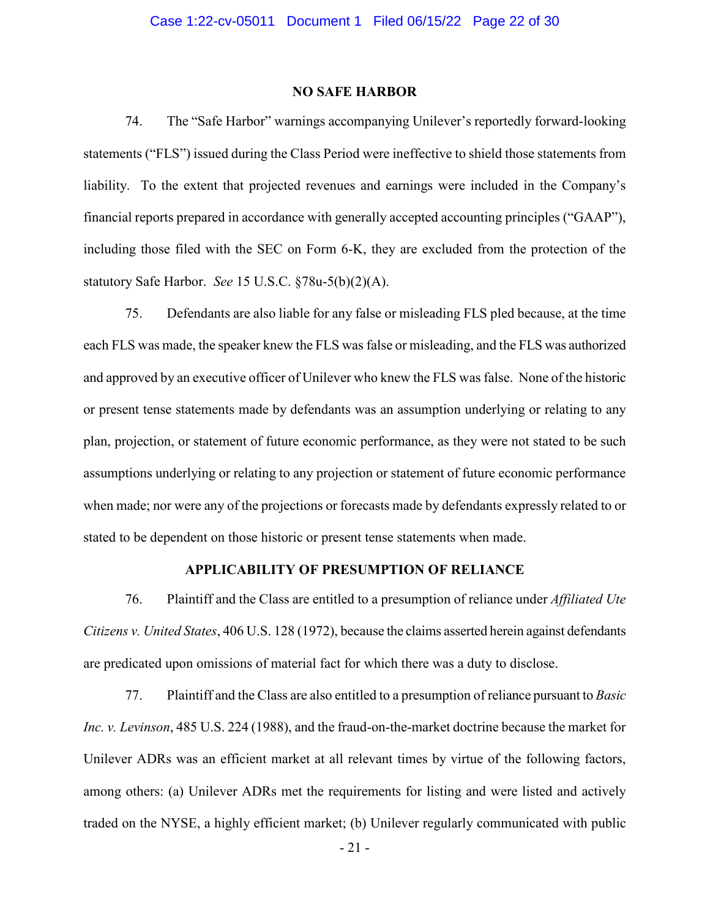### **NO SAFE HARBOR**

74. The "Safe Harbor" warnings accompanying Unilever's reportedly forward-looking statements ("FLS") issued during the Class Period were ineffective to shield those statements from liability. To the extent that projected revenues and earnings were included in the Company's financial reports prepared in accordance with generally accepted accounting principles ("GAAP"), including those filed with the SEC on Form 6-K, they are excluded from the protection of the statutory Safe Harbor. *See* 15 U.S.C. §78u-5(b)(2)(A).

75. Defendants are also liable for any false or misleading FLS pled because, at the time each FLS was made, the speaker knew the FLS was false or misleading, and the FLS was authorized and approved by an executive officer of Unilever who knew the FLS was false. None of the historic or present tense statements made by defendants was an assumption underlying or relating to any plan, projection, or statement of future economic performance, as they were not stated to be such assumptions underlying or relating to any projection or statement of future economic performance when made; nor were any of the projections or forecasts made by defendants expressly related to or stated to be dependent on those historic or present tense statements when made.

## **APPLICABILITY OF PRESUMPTION OF RELIANCE**

76. Plaintiff and the Class are entitled to a presumption of reliance under *Affiliated Ute Citizens v. United States*, 406 U.S. 128 (1972), because the claims asserted herein against defendants are predicated upon omissions of material fact for which there was a duty to disclose.

77. Plaintiff and the Class are also entitled to a presumption of reliance pursuant to *Basic Inc. v. Levinson*, 485 U.S. 224 (1988), and the fraud-on-the-market doctrine because the market for Unilever ADRs was an efficient market at all relevant times by virtue of the following factors, among others: (a) Unilever ADRs met the requirements for listing and were listed and actively traded on the NYSE, a highly efficient market; (b) Unilever regularly communicated with public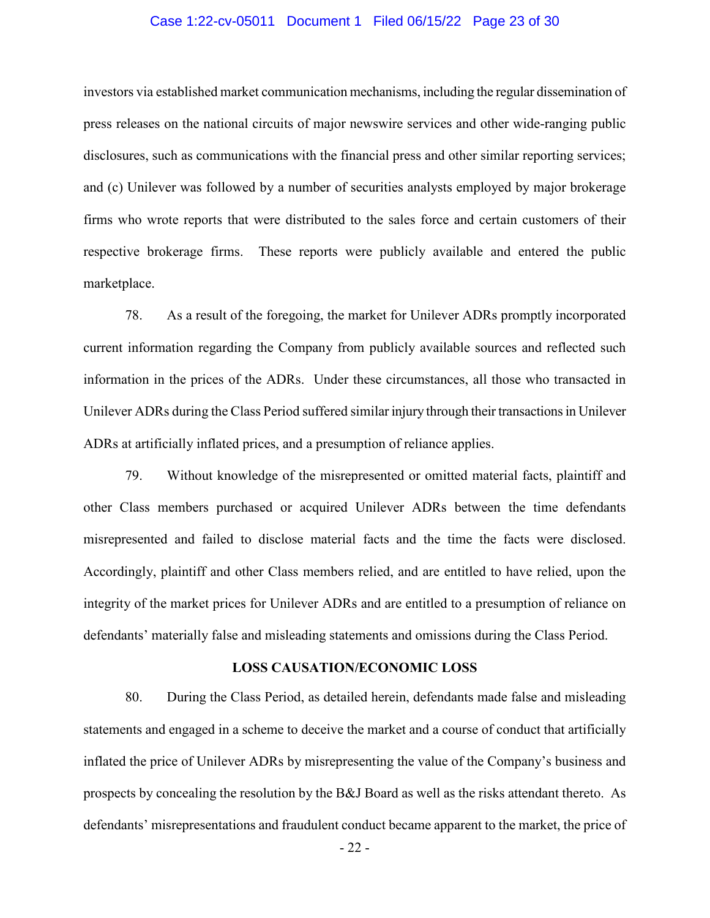### Case 1:22-cv-05011 Document 1 Filed 06/15/22 Page 23 of 30

investors via established market communication mechanisms, including the regular dissemination of press releases on the national circuits of major newswire services and other wide-ranging public disclosures, such as communications with the financial press and other similar reporting services; and (c) Unilever was followed by a number of securities analysts employed by major brokerage firms who wrote reports that were distributed to the sales force and certain customers of their respective brokerage firms. These reports were publicly available and entered the public marketplace.

78. As a result of the foregoing, the market for Unilever ADRs promptly incorporated current information regarding the Company from publicly available sources and reflected such information in the prices of the ADRs. Under these circumstances, all those who transacted in Unilever ADRs during the Class Period suffered similar injury through their transactions in Unilever ADRs at artificially inflated prices, and a presumption of reliance applies.

79. Without knowledge of the misrepresented or omitted material facts, plaintiff and other Class members purchased or acquired Unilever ADRs between the time defendants misrepresented and failed to disclose material facts and the time the facts were disclosed. Accordingly, plaintiff and other Class members relied, and are entitled to have relied, upon the integrity of the market prices for Unilever ADRs and are entitled to a presumption of reliance on defendants' materially false and misleading statements and omissions during the Class Period.

### **LOSS CAUSATION/ECONOMIC LOSS**

80. During the Class Period, as detailed herein, defendants made false and misleading statements and engaged in a scheme to deceive the market and a course of conduct that artificially inflated the price of Unilever ADRs by misrepresenting the value of the Company's business and prospects by concealing the resolution by the B&J Board as well as the risks attendant thereto. As defendants' misrepresentations and fraudulent conduct became apparent to the market, the price of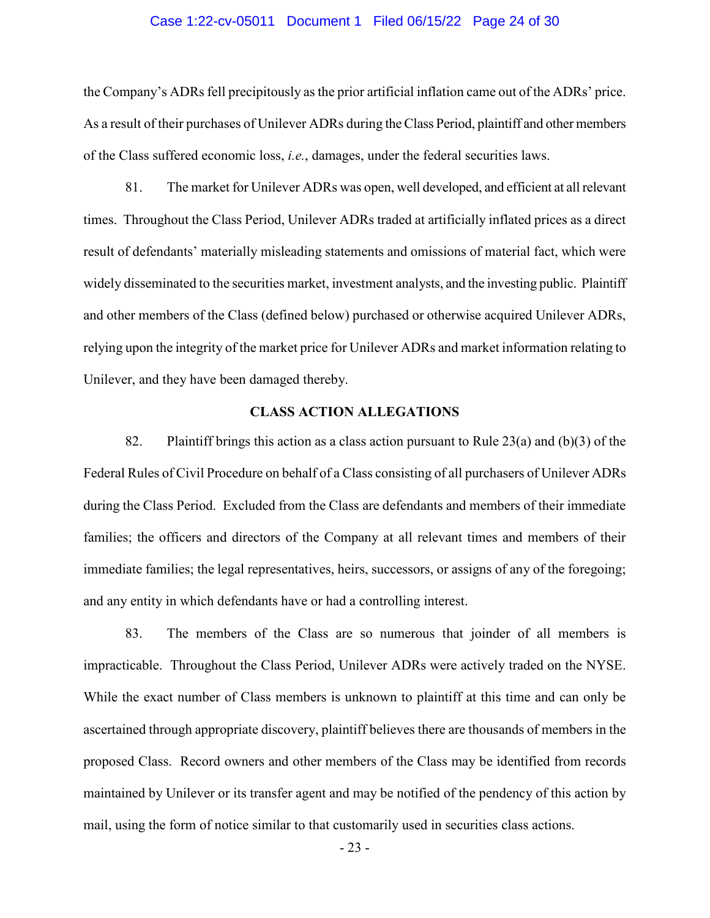#### Case 1:22-cv-05011 Document 1 Filed 06/15/22 Page 24 of 30

the Company's ADRs fell precipitously as the prior artificial inflation came out of the ADRs' price. As a result of their purchases of Unilever ADRs during the Class Period, plaintiff and other members of the Class suffered economic loss, *i.e.*, damages, under the federal securities laws.

81. The market for Unilever ADRs was open, well developed, and efficient at all relevant times. Throughout the Class Period, Unilever ADRs traded at artificially inflated prices as a direct result of defendants' materially misleading statements and omissions of material fact, which were widely disseminated to the securities market, investment analysts, and the investing public. Plaintiff and other members of the Class (defined below) purchased or otherwise acquired Unilever ADRs, relying upon the integrity of the market price for Unilever ADRs and market information relating to Unilever, and they have been damaged thereby.

## **CLASS ACTION ALLEGATIONS**

82. Plaintiff brings this action as a class action pursuant to Rule  $23(a)$  and (b)(3) of the Federal Rules of Civil Procedure on behalf of a Class consisting of all purchasers of Unilever ADRs during the Class Period. Excluded from the Class are defendants and members of their immediate families; the officers and directors of the Company at all relevant times and members of their immediate families; the legal representatives, heirs, successors, or assigns of any of the foregoing; and any entity in which defendants have or had a controlling interest.

83. The members of the Class are so numerous that joinder of all members is impracticable. Throughout the Class Period, Unilever ADRs were actively traded on the NYSE. While the exact number of Class members is unknown to plaintiff at this time and can only be ascertained through appropriate discovery, plaintiff believes there are thousands of members in the proposed Class. Record owners and other members of the Class may be identified from records maintained by Unilever or its transfer agent and may be notified of the pendency of this action by mail, using the form of notice similar to that customarily used in securities class actions.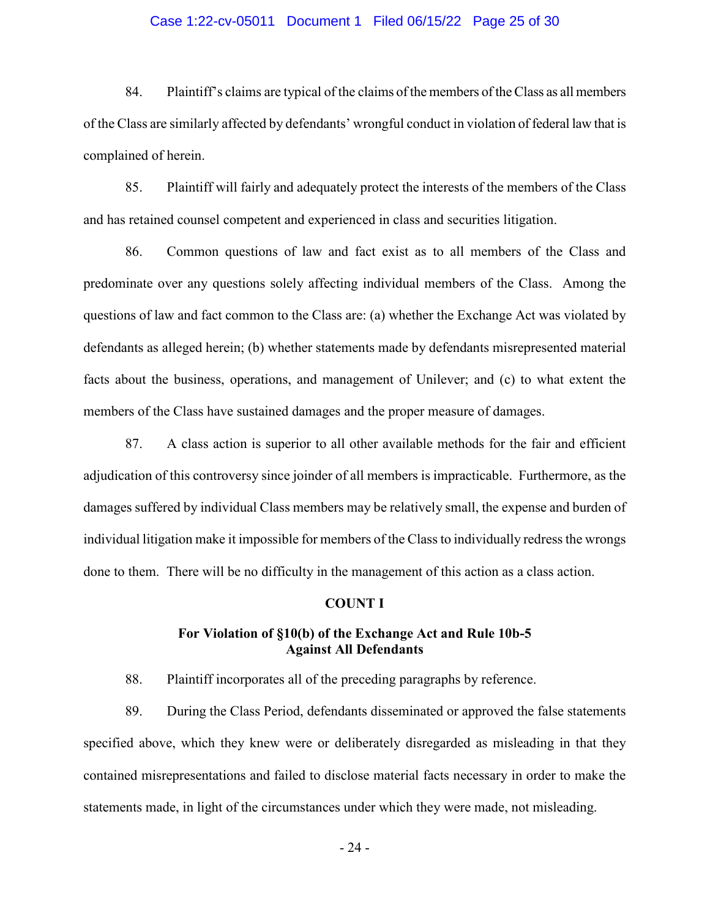### Case 1:22-cv-05011 Document 1 Filed 06/15/22 Page 25 of 30

84. Plaintiff's claims are typical of the claims of the members of the Class as all members of the Class are similarly affected by defendants' wrongful conduct in violation of federal law that is complained of herein.

85. Plaintiff will fairly and adequately protect the interests of the members of the Class and has retained counsel competent and experienced in class and securities litigation.

86. Common questions of law and fact exist as to all members of the Class and predominate over any questions solely affecting individual members of the Class. Among the questions of law and fact common to the Class are: (a) whether the Exchange Act was violated by defendants as alleged herein; (b) whether statements made by defendants misrepresented material facts about the business, operations, and management of Unilever; and (c) to what extent the members of the Class have sustained damages and the proper measure of damages.

87. A class action is superior to all other available methods for the fair and efficient adjudication of this controversy since joinder of all members is impracticable. Furthermore, as the damages suffered by individual Class members may be relatively small, the expense and burden of individual litigation make it impossible for members of the Class to individually redress the wrongs done to them. There will be no difficulty in the management of this action as a class action.

#### **COUNT I**

### **For Violation of §10(b) of the Exchange Act and Rule 10b-5 Against All Defendants**

88. Plaintiff incorporates all of the preceding paragraphs by reference.

89. During the Class Period, defendants disseminated or approved the false statements specified above, which they knew were or deliberately disregarded as misleading in that they contained misrepresentations and failed to disclose material facts necessary in order to make the statements made, in light of the circumstances under which they were made, not misleading.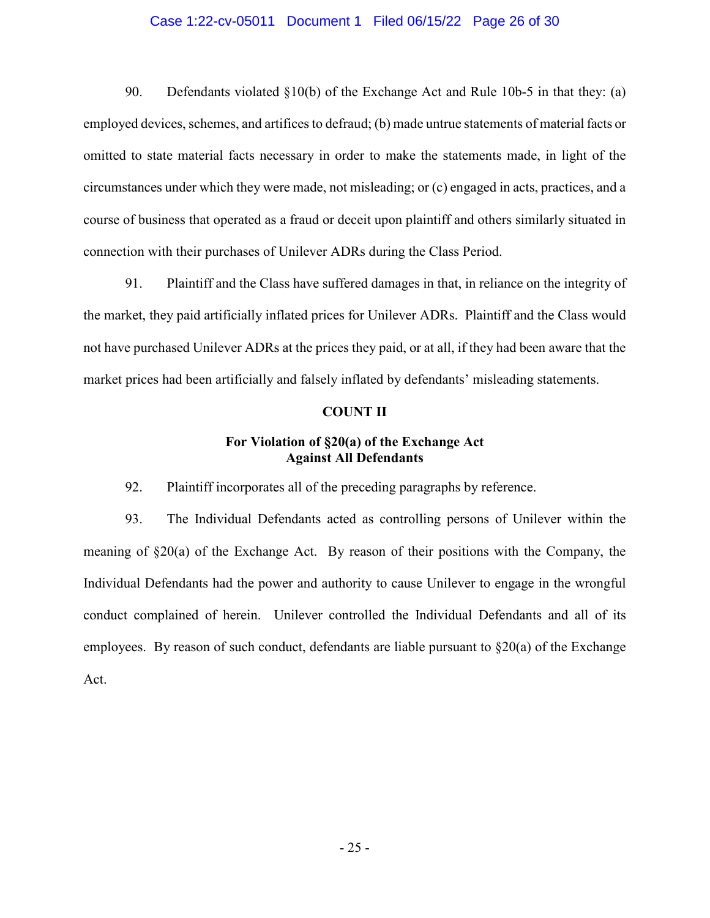### Case 1:22-cv-05011 Document 1 Filed 06/15/22 Page 26 of 30

90. Defendants violated §10(b) of the Exchange Act and Rule 10b-5 in that they: (a) employed devices, schemes, and artifices to defraud; (b) made untrue statements of material facts or omitted to state material facts necessary in order to make the statements made, in light of the circumstances under which they were made, not misleading; or (c) engaged in acts, practices, and a course of business that operated as a fraud or deceit upon plaintiff and others similarly situated in connection with their purchases of Unilever ADRs during the Class Period.

91. Plaintiff and the Class have suffered damages in that, in reliance on the integrity of the market, they paid artificially inflated prices for Unilever ADRs. Plaintiff and the Class would not have purchased Unilever ADRs at the prices they paid, or at all, if they had been aware that the market prices had been artificially and falsely inflated by defendants' misleading statements.

#### **COUNT II**

## **For Violation of §20(a) of the Exchange Act Against All Defendants**

92. Plaintiff incorporates all of the preceding paragraphs by reference.

93. The Individual Defendants acted as controlling persons of Unilever within the meaning of §20(a) of the Exchange Act. By reason of their positions with the Company, the Individual Defendants had the power and authority to cause Unilever to engage in the wrongful conduct complained of herein. Unilever controlled the Individual Defendants and all of its employees. By reason of such conduct, defendants are liable pursuant to  $\S20(a)$  of the Exchange Act.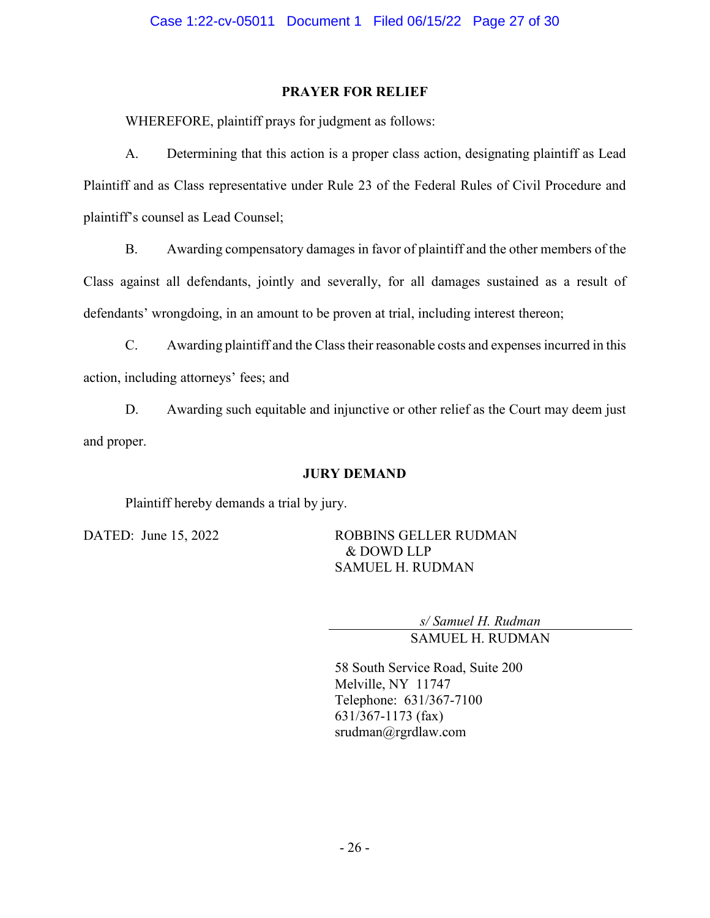## **PRAYER FOR RELIEF**

WHEREFORE, plaintiff prays for judgment as follows:

A. Determining that this action is a proper class action, designating plaintiff as Lead Plaintiff and as Class representative under Rule 23 of the Federal Rules of Civil Procedure and plaintiff's counsel as Lead Counsel;

B. Awarding compensatory damages in favor of plaintiff and the other members of the Class against all defendants, jointly and severally, for all damages sustained as a result of defendants' wrongdoing, in an amount to be proven at trial, including interest thereon;

C. Awarding plaintiff and the Class their reasonable costs and expenses incurred in this action, including attorneys' fees; and

D. Awarding such equitable and injunctive or other relief as the Court may deem just and proper.

## **JURY DEMAND**

Plaintiff hereby demands a trial by jury.

DATED: June 15, 2022 ROBBINS GELLER RUDMAN & DOWD LLP SAMUEL H. RUDMAN

> *s/ Samuel H. Rudman* SAMUEL H. RUDMAN

58 South Service Road, Suite 200 Melville, NY 11747 Telephone: 631/367-7100 631/367-1173 (fax) srudman@rgrdlaw.com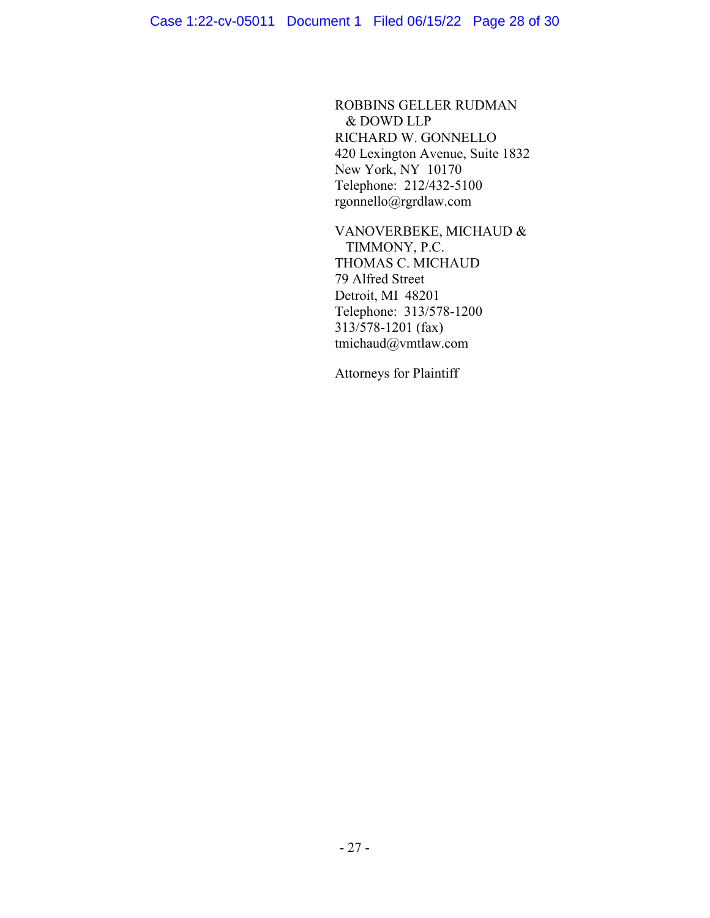ROBBINS GELLER RUDMAN & DOWD LLP RICHARD W. GONNELLO 420 Lexington Avenue, Suite 1832 New York, NY 10170 Telephone: 212/432-5100 rgonnello@rgrdlaw.com

VANOVERBEKE, MICHAUD & TIMMONY, P.C. THOMAS C. MICHAUD 79 Alfred Street Detroit, MI 48201 Telephone: 313/578-1200 313/578-1201 (fax) tmichaud@vmtlaw.com

Attorneys for Plaintiff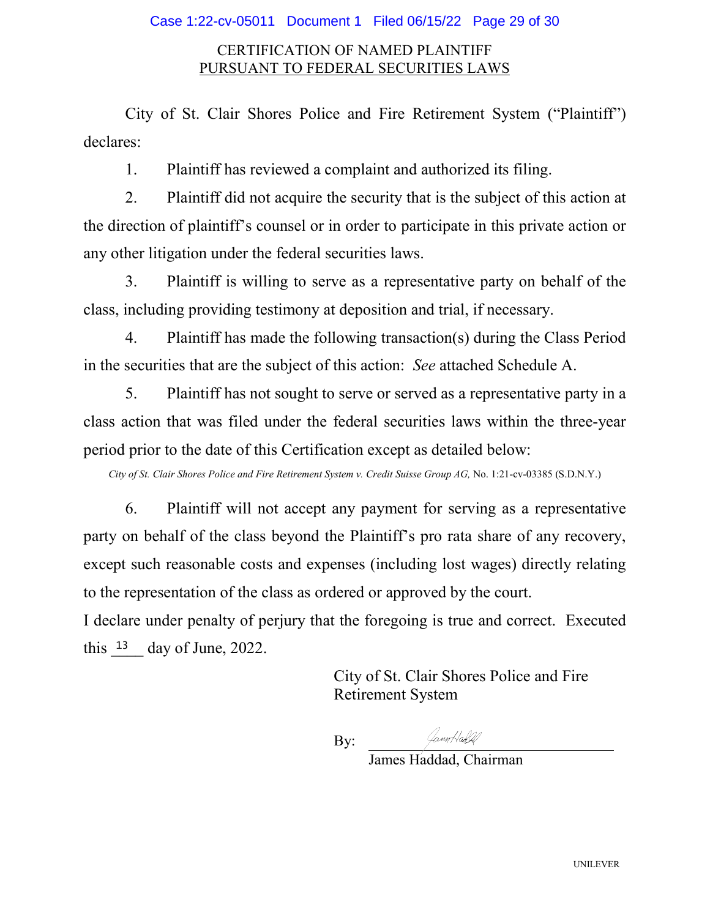## Case 1:22-cv-05011 Document 1 Filed 06/15/22 Page 29 of 30

# CERTIFICATION OF NAMED PLAINTIFF PURSUANT TO FEDERAL SECURITIES LAWS

City of St. Clair Shores Police and Fire Retirement System ("Plaintiff") declares:

1. Plaintiff has reviewed a complaint and authorized its filing.

2. Plaintiff did not acquire the security that is the subject of this action at the direction of plaintiff's counsel or in order to participate in this private action or any other litigation under the federal securities laws.

3. Plaintiff is willing to serve as a representative party on behalf of the class, including providing testimony at deposition and trial, if necessary.

4. Plaintiff has made the following transaction(s) during the Class Period in the securities that are the subject of this action: *See* attached Schedule A.

5. Plaintiff has not sought to serve or served as a representative party in a class action that was filed under the federal securities laws within the three-year period prior to the date of this Certification except as detailed below:

*City of St. Clair Shores Police and Fire Retirement System v. Credit Suisse Group AG,* No. 1:21-cv-03385 (S.D.N.Y.)

6. Plaintiff will not accept any payment for serving as a representative party on behalf of the class beyond the Plaintiff's pro rata share of any recovery, except such reasonable costs and expenses (including lost wages) directly relating to the representation of the class as ordered or approved by the court.

I declare under penalty of perjury that the foregoing is true and correct. Executed this  $\frac{13}{2}$  day of June, 2022.

> City of St. Clair Shores Police and Fire Retirement System

By:

/amrHabld/

James Haddad, Chairman